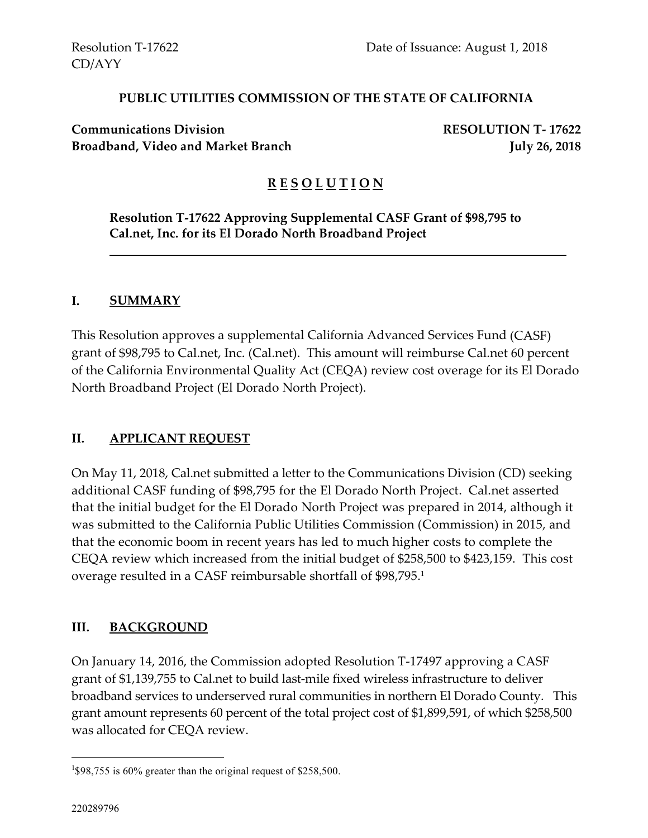### **PUBLIC UTILITIES COMMISSION OF THE STATE OF CALIFORNIA**

**Communications Division RESOLUTION T- 17622 Broadband, Video and Market Branch July 26, 2018** 

## **R E S O L U T I O N**

**Resolution T-17622 Approving Supplemental CASF Grant of \$98,795 to Cal.net, Inc. for its El Dorado North Broadband Project**

#### **I. SUMMARY**

This Resolution approves a supplemental California Advanced Services Fund (CASF) grant of \$98,795 to Cal.net, Inc. (Cal.net). This amount will reimburse Cal.net 60 percent of the California Environmental Quality Act (CEQA) review cost overage for its El Dorado North Broadband Project (El Dorado North Project).

### **II. APPLICANT REQUEST**

On May 11, 2018, Cal.net submitted a letter to the Communications Division (CD) seeking additional CASF funding of \$98,795 for the El Dorado North Project. Cal.net asserted that the initial budget for the El Dorado North Project was prepared in 2014, although it was submitted to the California Public Utilities Commission (Commission) in 2015, and that the economic boom in recent years has led to much higher costs to complete the CEQA review which increased from the initial budget of \$258,500 to \$423,159. This cost overage resulted in a CASF reimbursable shortfall of \$98,795. 1

### **III. BACKGROUND**

On January 14, 2016, the Commission adopted Resolution T-17497 approving a CASF grant of \$1,139,755 to Cal.net to build last-mile fixed wireless infrastructure to deliver broadband services to underserved rural communities in northern El Dorado County. This grant amount represents 60 percent of the total project cost of \$1,899,591, of which \$258,500 was allocated for CEQA review.

 $\overline{a}$ 

<sup>&</sup>lt;sup>1</sup>\$98,755 is 60% greater than the original request of \$258,500.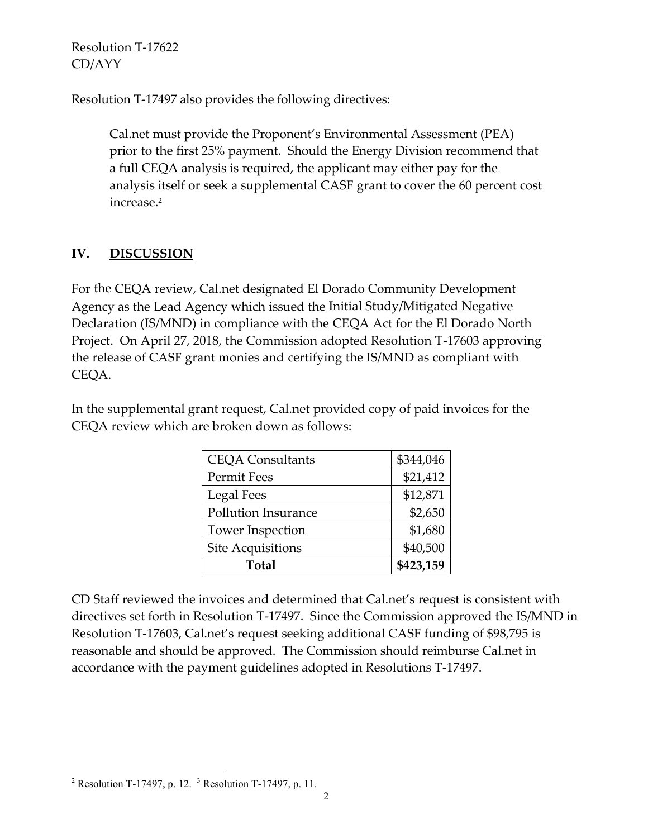Resolution T-17497 also provides the following directives:

Cal.net must provide the Proponent's Environmental Assessment (PEA) prior to the first 25% payment. Should the Energy Division recommend that a full CEQA analysis is required, the applicant may either pay for the analysis itself or seek a supplemental CASF grant to cover the 60 percent cost increase. 2

# **IV. DISCUSSION**

For the CEQA review, Cal.net designated El Dorado Community Development Agency as the Lead Agency which issued the Initial Study/Mitigated Negative Declaration (IS/MND) in compliance with the CEQA Act for the El Dorado North Project. On April 27, 2018, the Commission adopted Resolution T-17603 approving the release of CASF grant monies and certifying the IS/MND as compliant with CEQA.

In the supplemental grant request, Cal.net provided copy of paid invoices for the CEQA review which are broken down as follows:

| <b>CEQA Consultants</b>    | \$344,046 |
|----------------------------|-----------|
| Permit Fees                | \$21,412  |
| Legal Fees                 | \$12,871  |
| <b>Pollution Insurance</b> | \$2,650   |
| <b>Tower Inspection</b>    | \$1,680   |
| <b>Site Acquisitions</b>   | \$40,500  |
| Total                      | \$423,159 |

CD Staff reviewed the invoices and determined that Cal.net's request is consistent with directives set forth in Resolution T-17497. Since the Commission approved the IS/MND in Resolution T-17603, Cal.net's request seeking additional CASF funding of \$98,795 is reasonable and should be approved. The Commission should reimburse Cal.net in accordance with the payment guidelines adopted in Resolutions T-17497.

 $\overline{a}$ <sup>2</sup> Resolution T-17497, p. 12. <sup>3</sup> Resolution T-17497, p. 11.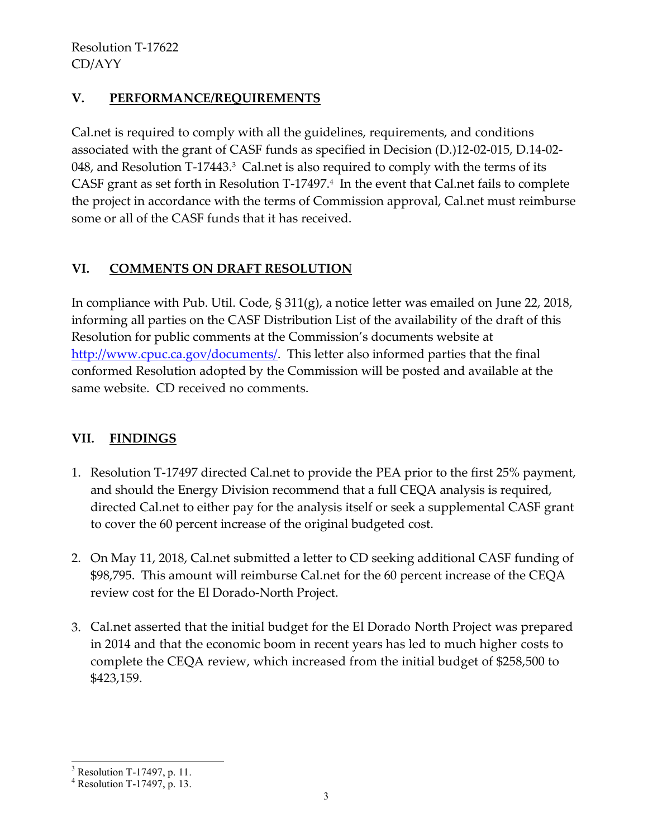## **V. PERFORMANCE/REQUIREMENTS**

Cal.net is required to comply with all the guidelines, requirements, and conditions associated with the grant of CASF funds as specified in Decision (D.)12-02-015, D.14-02- 048, and Resolution T-17443. <sup>3</sup> Cal.net is also required to comply with the terms of its CASF grant as set forth in Resolution T-17497.<sup>4</sup> In the event that Cal.net fails to complete the project in accordance with the terms of Commission approval, Cal.net must reimburse some or all of the CASF funds that it has received.

## **VI. COMMENTS ON DRAFT RESOLUTION**

In compliance with Pub. Util. Code, § 311(g), a notice letter was emailed on June 22, 2018, informing all parties on the CASF Distribution List of the availability of the draft of this Resolution for public comments at the Commission's documents website at [http://www.cpuc.ca.gov/documents/.](http://www.cpuc.ca.gov/documents/) This letter also informed parties that the final conformed Resolution adopted by the Commission will be posted and available at the same website. CD received no comments.

## **VII. FINDINGS**

- 1. Resolution T-17497 directed Cal.net to provide the PEA prior to the first 25% payment, and should the Energy Division recommend that a full CEQA analysis is required, directed Cal.net to either pay for the analysis itself or seek a supplemental CASF grant to cover the 60 percent increase of the original budgeted cost.
- 2. On May 11, 2018, Cal.net submitted a letter to CD seeking additional CASF funding of \$98,795. This amount will reimburse Cal.net for the 60 percent increase of the CEQA review cost for the El Dorado-North Project.
- 3. Cal.net asserted that the initial budget for the El Dorado North Project was prepared in 2014 and that the economic boom in recent years has led to much higher costs to complete the CEQA review, which increased from the initial budget of \$258,500 to \$423,159.

l

 $3$  Resolution T-17497, p. 11.

<sup>4</sup> Resolution T-17497, p. 13.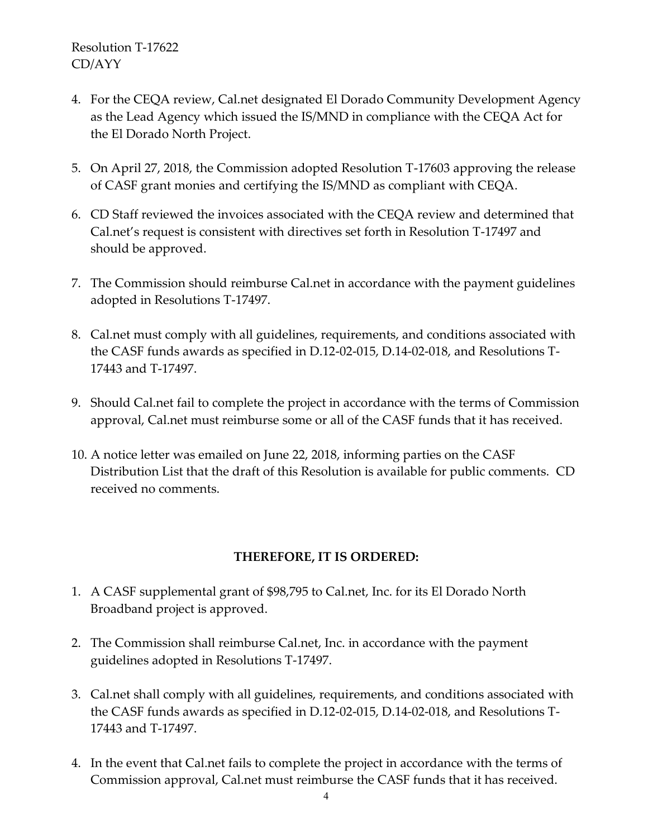- 4. For the CEQA review, Cal.net designated El Dorado Community Development Agency as the Lead Agency which issued the IS/MND in compliance with the CEQA Act for the El Dorado North Project.
- 5. On April 27, 2018, the Commission adopted Resolution T-17603 approving the release of CASF grant monies and certifying the IS/MND as compliant with CEQA.
- 6. CD Staff reviewed the invoices associated with the CEQA review and determined that Cal.net's request is consistent with directives set forth in Resolution T-17497 and should be approved.
- 7. The Commission should reimburse Cal.net in accordance with the payment guidelines adopted in Resolutions T-17497.
- 8. Cal.net must comply with all guidelines, requirements, and conditions associated with the CASF funds awards as specified in D.12-02-015, D.14-02-018, and Resolutions T-17443 and T-17497.
- 9. Should Cal.net fail to complete the project in accordance with the terms of Commission approval, Cal.net must reimburse some or all of the CASF funds that it has received.
- 10. A notice letter was emailed on June 22, 2018, informing parties on the CASF Distribution List that the draft of this Resolution is available for public comments. CD received no comments.

### **THEREFORE, IT IS ORDERED:**

- 1. A CASF supplemental grant of \$98,795 to Cal.net, Inc. for its El Dorado North Broadband project is approved.
- 2. The Commission shall reimburse Cal.net, Inc. in accordance with the payment guidelines adopted in Resolutions T-17497.
- 3. Cal.net shall comply with all guidelines, requirements, and conditions associated with the CASF funds awards as specified in D.12-02-015, D.14-02-018, and Resolutions T-17443 and T-17497.
- 4. In the event that Cal.net fails to complete the project in accordance with the terms of Commission approval, Cal.net must reimburse the CASF funds that it has received.